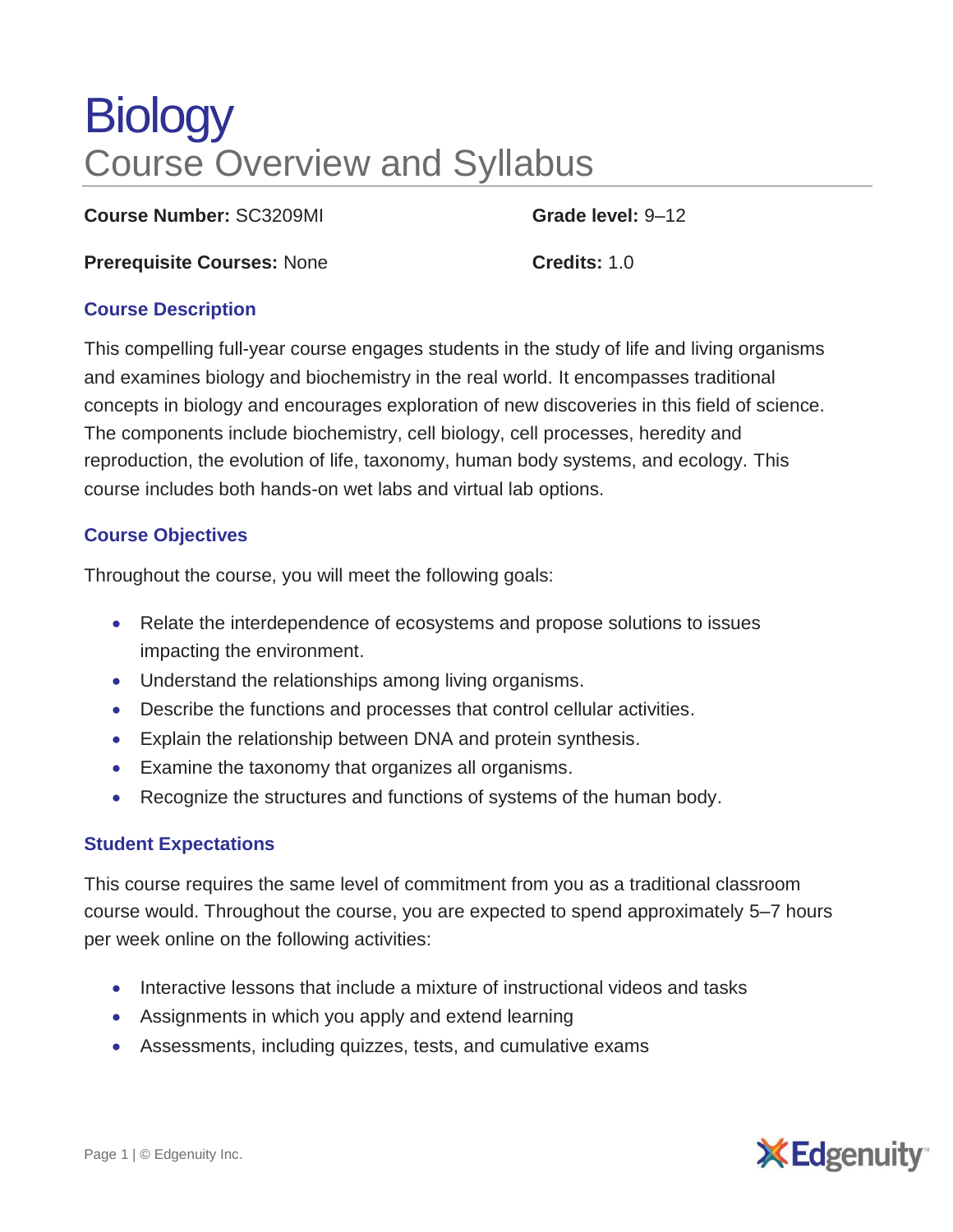# **Biology** Course Overview and Syllabus

**Course Number:** SC3209MI **Grade level:** 9–12

**Prerequisite Courses: None <b>Credits:** 1.0

## **Course Description**

This compelling full-year course engages students in the study of life and living organisms and examines biology and biochemistry in the real world. It encompasses traditional concepts in biology and encourages exploration of new discoveries in this field of science. The components include biochemistry, cell biology, cell processes, heredity and reproduction, the evolution of life, taxonomy, human body systems, and ecology. This course includes both hands-on wet labs and virtual lab options.

## **Course Objectives**

Throughout the course, you will meet the following goals:

- Relate the interdependence of ecosystems and propose solutions to issues impacting the environment.
- Understand the relationships among living organisms.
- Describe the functions and processes that control cellular activities.
- Explain the relationship between DNA and protein synthesis.
- Examine the taxonomy that organizes all organisms.
- Recognize the structures and functions of systems of the human body.

### **Student Expectations**

This course requires the same level of commitment from you as a traditional classroom course would. Throughout the course, you are expected to spend approximately 5–7 hours per week online on the following activities:

- Interactive lessons that include a mixture of instructional videos and tasks
- Assignments in which you apply and extend learning
- Assessments, including quizzes, tests, and cumulative exams